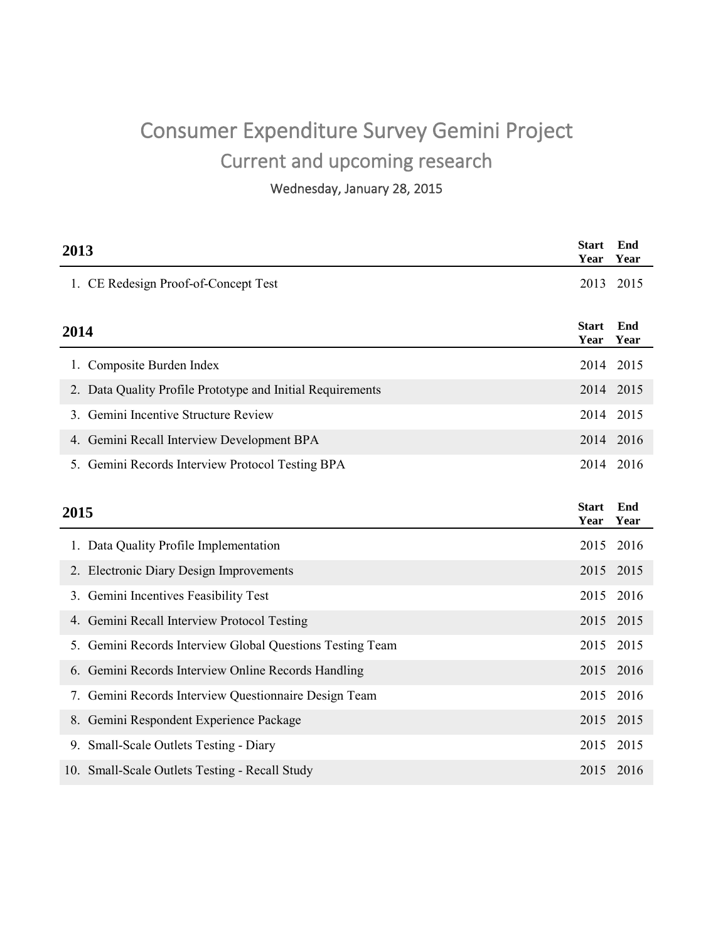# Consumer Expenditure Survey Gemini Project Current and upcoming research

Wednesday, January 28, 2015

| 2013 |                                                            | Start<br>Year | End<br>Year |
|------|------------------------------------------------------------|---------------|-------------|
|      | 1. CE Redesign Proof-of-Concept Test                       | 2013          | 2015        |
| 2014 |                                                            |               | End<br>Year |
|      | 1. Composite Burden Index                                  | 2014          | 2015        |
|      | 2. Data Quality Profile Prototype and Initial Requirements |               | 2014 2015   |
|      | 3. Gemini Incentive Structure Review                       | 2014          | 2015        |
|      | 4. Gemini Recall Interview Development BPA                 |               | 2014 2016   |
|      | 5. Gemini Records Interview Protocol Testing BPA           |               | 2014 2016   |
| 2015 |                                                            |               | End<br>Year |
|      | 1. Data Quality Profile Implementation                     | 2015          | 2016        |
|      | 2. Electronic Diary Design Improvements                    | 2015          | 2015        |
|      | 3. Gemini Incentives Feasibility Test                      | 2015          | 2016        |
|      | 4. Gemini Recall Interview Protocol Testing                | 2015          | 2015        |
|      | 5. Gemini Records Interview Global Questions Testing Team  | 2015          | 2015        |
|      | 6. Gemini Records Interview Online Records Handling        | 2015          | 2016        |
|      | 7. Gemini Records Interview Questionnaire Design Team      | 2015          | 2016        |
|      | 8. Gemini Respondent Experience Package                    | 2015          | 2015        |
|      | 9. Small-Scale Outlets Testing - Diary                     | 2015          | 2015        |
|      | 10. Small-Scale Outlets Testing - Recall Study             | 2015          | 2016        |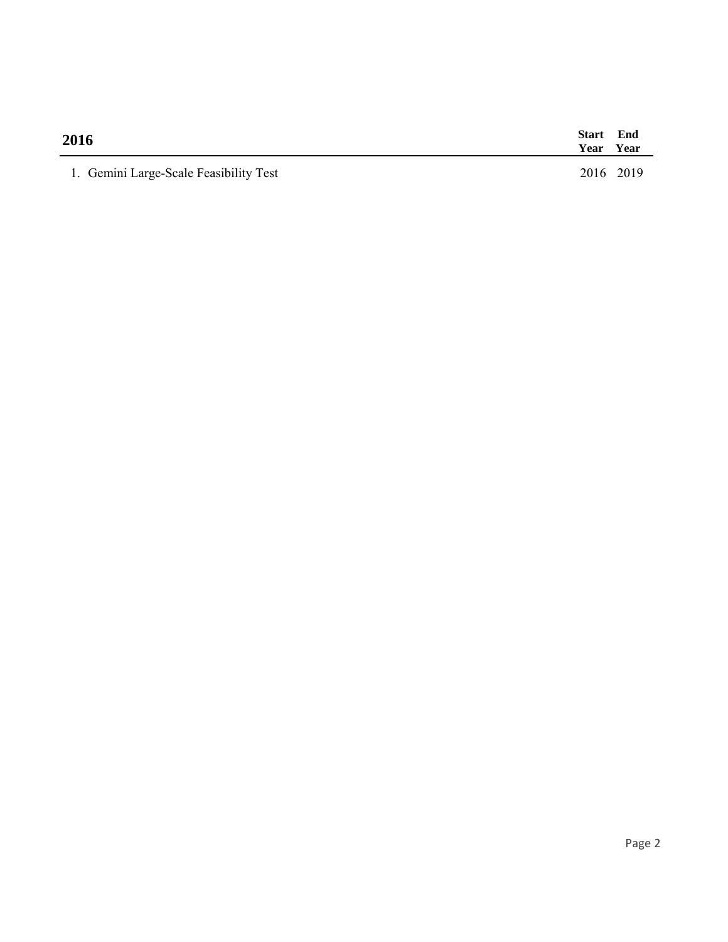| 2016                                   |           | Start End<br>Year Year |
|----------------------------------------|-----------|------------------------|
| 1. Gemini Large-Scale Feasibility Test | 2016 2019 |                        |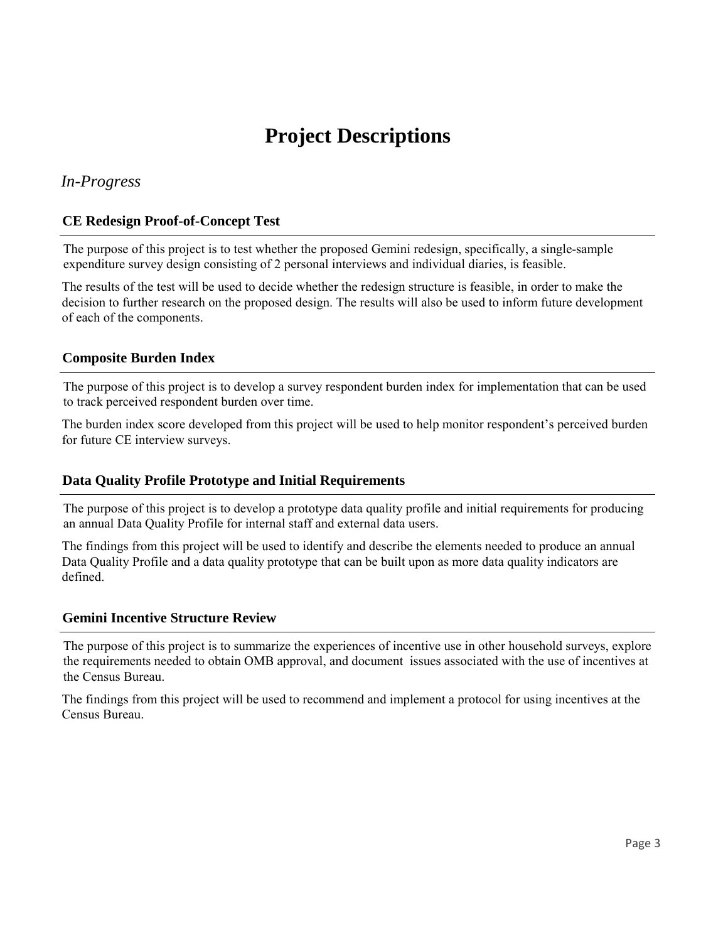## **Project Descriptions**

## *In-Progress*

## **CE Redesign Proof-of-Concept Test**

The purpose of this project is to test whether the proposed Gemini redesign, specifically, a single-sample expenditure survey design consisting of 2 personal interviews and individual diaries, is feasible.

The results of the test will be used to decide whether the redesign structure is feasible, in order to make the decision to further research on the proposed design. The results will also be used to inform future development of each of the components.

## **Composite Burden Index**

The purpose of this project is to develop a survey respondent burden index for implementation that can be used to track perceived respondent burden over time.

The burden index score developed from this project will be used to help monitor respondent's perceived burden for future CE interview surveys.

## **Data Quality Profile Prototype and Initial Requirements**

The purpose of this project is to develop a prototype data quality profile and initial requirements for producing an annual Data Quality Profile for internal staff and external data users.

The findings from this project will be used to identify and describe the elements needed to produce an annual Data Quality Profile and a data quality prototype that can be built upon as more data quality indicators are defined.

#### **Gemini Incentive Structure Review**

The purpose of this project is to summarize the experiences of incentive use in other household surveys, explore the requirements needed to obtain OMB approval, and document issues associated with the use of incentives at the Census Bureau.

The findings from this project will be used to recommend and implement a protocol for using incentives at the Census Bureau.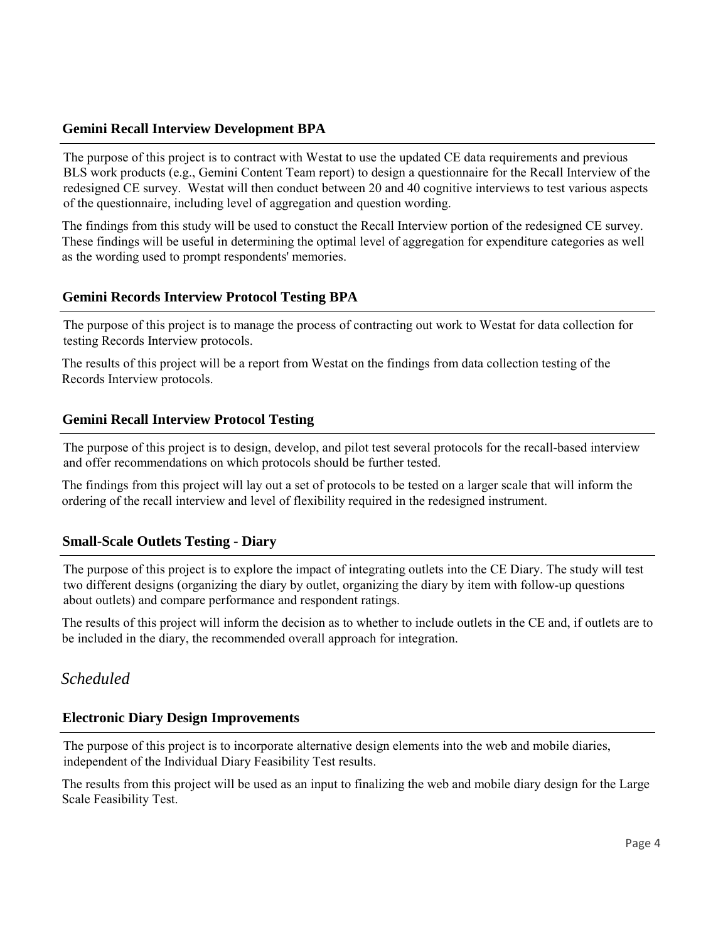## **Gemini Recall Interview Development BPA**

The purpose of this project is to contract with Westat to use the updated CE data requirements and previous BLS work products (e.g., Gemini Content Team report) to design a questionnaire for the Recall Interview of the redesigned CE survey. Westat will then conduct between 20 and 40 cognitive interviews to test various aspects of the questionnaire, including level of aggregation and question wording.

The findings from this study will be used to constuct the Recall Interview portion of the redesigned CE survey. These findings will be useful in determining the optimal level of aggregation for expenditure categories as well as the wording used to prompt respondents' memories.

## **Gemini Records Interview Protocol Testing BPA**

The purpose of this project is to manage the process of contracting out work to Westat for data collection for testing Records Interview protocols.

The results of this project will be a report from Westat on the findings from data collection testing of the Records Interview protocols.

## **Gemini Recall Interview Protocol Testing**

The purpose of this project is to design, develop, and pilot test several protocols for the recall-based interview and offer recommendations on which protocols should be further tested.

The findings from this project will lay out a set of protocols to be tested on a larger scale that will inform the ordering of the recall interview and level of flexibility required in the redesigned instrument.

## **Small-Scale Outlets Testing - Diary**

The purpose of this project is to explore the impact of integrating outlets into the CE Diary. The study will test two different designs (organizing the diary by outlet, organizing the diary by item with follow-up questions about outlets) and compare performance and respondent ratings.

The results of this project will inform the decision as to whether to include outlets in the CE and, if outlets are to be included in the diary, the recommended overall approach for integration.

## *Scheduled*

## **Electronic Diary Design Improvements**

The purpose of this project is to incorporate alternative design elements into the web and mobile diaries, independent of the Individual Diary Feasibility Test results.

The results from this project will be used as an input to finalizing the web and mobile diary design for the Large Scale Feasibility Test.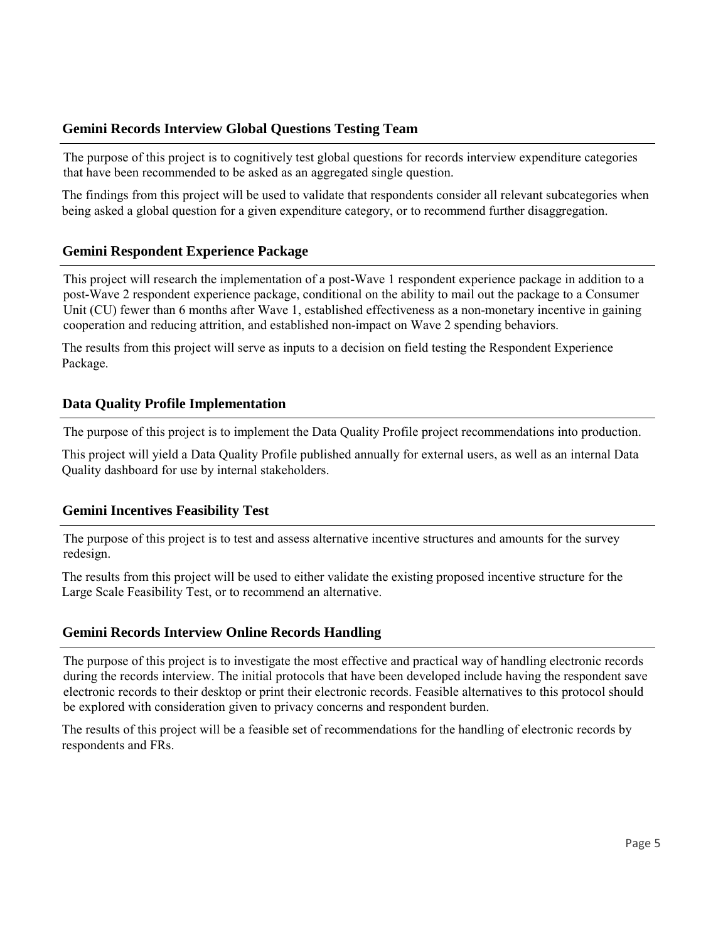## **Gemini Records Interview Global Questions Testing Team**

The purpose of this project is to cognitively test global questions for records interview expenditure categories that have been recommended to be asked as an aggregated single question.

The findings from this project will be used to validate that respondents consider all relevant subcategories when being asked a global question for a given expenditure category, or to recommend further disaggregation.

### **Gemini Respondent Experience Package**

This project will research the implementation of a post-Wave 1 respondent experience package in addition to a post-Wave 2 respondent experience package, conditional on the ability to mail out the package to a Consumer Unit (CU) fewer than 6 months after Wave 1, established effectiveness as a non-monetary incentive in gaining cooperation and reducing attrition, and established non-impact on Wave 2 spending behaviors.

The results from this project will serve as inputs to a decision on field testing the Respondent Experience Package.

### **Data Quality Profile Implementation**

The purpose of this project is to implement the Data Quality Profile project recommendations into production.

This project will yield a Data Quality Profile published annually for external users, as well as an internal Data Quality dashboard for use by internal stakeholders.

## **Gemini Incentives Feasibility Test**

The purpose of this project is to test and assess alternative incentive structures and amounts for the survey redesign.

The results from this project will be used to either validate the existing proposed incentive structure for the Large Scale Feasibility Test, or to recommend an alternative.

## **Gemini Records Interview Online Records Handling**

The purpose of this project is to investigate the most effective and practical way of handling electronic records during the records interview. The initial protocols that have been developed include having the respondent save electronic records to their desktop or print their electronic records. Feasible alternatives to this protocol should be explored with consideration given to privacy concerns and respondent burden.

The results of this project will be a feasible set of recommendations for the handling of electronic records by respondents and FRs.